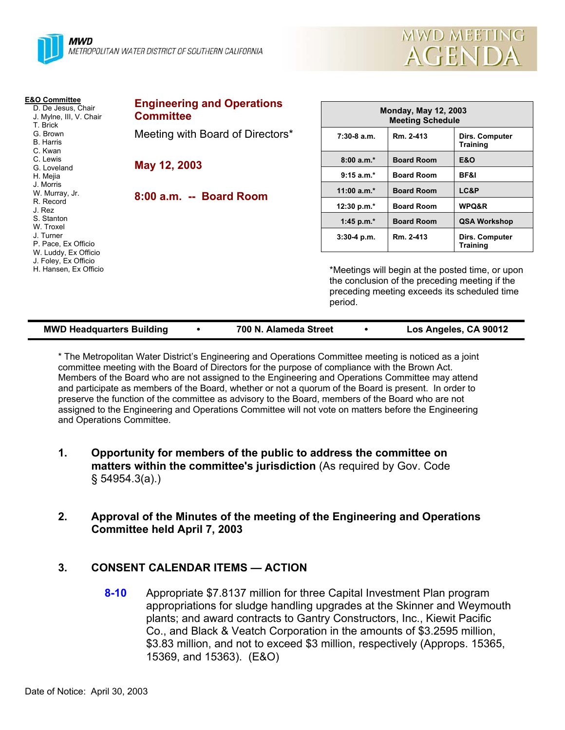

**E&O Committee** D. De Jesus, Chair J. Mylne, III, V. Chair

T. Brick G. Brown B. Harris C. Kwan C. Lewis G. Loveland H. Mejia J. Morris W. Murray, Jr. R. Record J. Rez S. Stanton W. Troxel J. Turner P. Pace, Ex Officio W. Luddy, Ex Officio J. Foley, Ex Officio H. Hansen, Ex Officio

| <b>Engineering and Operations</b><br><b>Committee</b> | <b>Monday, May 12, 2003</b><br><b>Meeting Schedule</b> |                   |                                   |
|-------------------------------------------------------|--------------------------------------------------------|-------------------|-----------------------------------|
| Meeting with Board of Directors*                      | $7:30-8$ a.m.                                          | Rm. 2-413         | Dirs. Computer<br><b>Training</b> |
| May 12, 2003                                          | $8:00a.m.*$                                            | <b>Board Room</b> | E&O                               |
|                                                       | $9:15 a.m.*$                                           | <b>Board Room</b> | <b>BF&amp;I</b>                   |
| 8:00 a.m. -- Board Room                               | 11:00 $a.m.*$                                          | <b>Board Room</b> | LC&P                              |
|                                                       | 12:30 p.m.*                                            | <b>Board Room</b> | WPQ&R                             |
|                                                       | 1:45 p.m. $*$                                          | <b>Board Room</b> | <b>QSA Workshop</b>               |
|                                                       | $3:30-4$ p.m.                                          | Rm. 2-413         | Dirs. Computer<br><b>Training</b> |

\*Meetings will begin at the posted time, or upon the conclusion of the preceding meeting if the preceding meeting exceeds its scheduled time period.

MWD MEETING

AGENDA

| <b>MWD Headquarters Building</b> |  | 700 N. Alameda Street |  | Los Angeles, CA 90012 |
|----------------------------------|--|-----------------------|--|-----------------------|
|----------------------------------|--|-----------------------|--|-----------------------|

\* The Metropolitan Water District's Engineering and Operations Committee meeting is noticed as a joint committee meeting with the Board of Directors for the purpose of compliance with the Brown Act. Members of the Board who are not assigned to the Engineering and Operations Committee may attend and participate as members of the Board, whether or not a quorum of the Board is present. In order to preserve the function of the committee as advisory to the Board, members of the Board who are not assigned to the Engineering and Operations Committee will not vote on matters before the Engineering and Operations Committee.

- **1. Opportunity for members of the public to address the committee on matters within the committee's jurisdiction** (As required by Gov. Code § 54954.3(a).)
- **2. Approval of the Minutes of the meeting of the Engineering and Operations Committee held April 7, 2003**

# **3. CONSENT CALENDAR ITEMS — ACTION**

**8-10** Appropriate \$7.8137 million for three Capital Investment Plan program appropriations for sludge handling upgrades at the Skinner and Weymouth plants; and award contracts to Gantry Constructors, Inc., Kiewit Pacific Co., and Black & Veatch Corporation in the amounts of \$3.2595 million, \$3.83 million, and not to exceed \$3 million, respectively (Approps. 15365, 15369, and 15363). (E&O)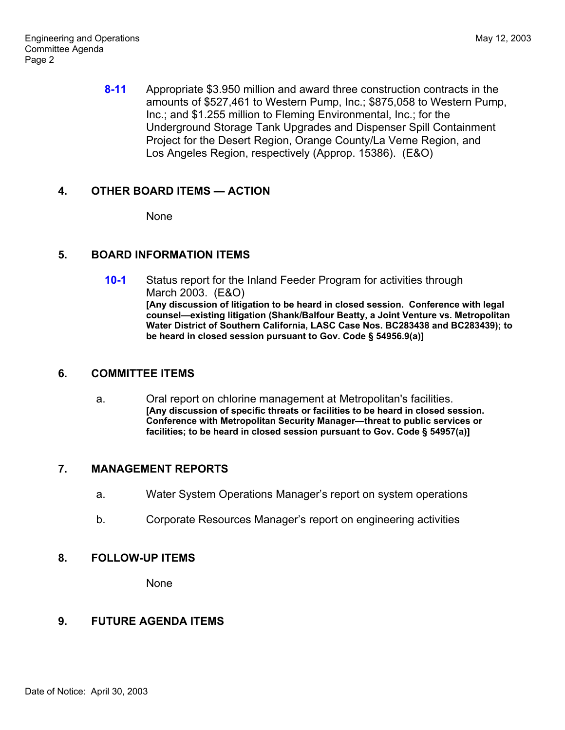**8-11** Appropriate \$3.950 million and award three construction contracts in the amounts of \$527,461 to Western Pump, Inc.; \$875,058 to Western Pump, Inc.; and \$1.255 million to Fleming Environmental, Inc.; for the Underground Storage Tank Upgrades and Dispenser Spill Containment Project for the Desert Region, Orange County/La Verne Region, and Los Angeles Region, respectively (Approp. 15386). (E&O)

#### **4. OTHER BOARD ITEMS — ACTION**

None

# **5. BOARD INFORMATION ITEMS**

**10-1** Status report for the Inland Feeder Program for activities through March 2003. (E&O) **[Any discussion of litigation to be heard in closed session. Conference with legal counsel—existing litigation (Shank/Balfour Beatty, a Joint Venture vs. Metropolitan Water District of Southern California, LASC Case Nos. BC283438 and BC283439); to be heard in closed session pursuant to Gov. Code § 54956.9(a)]**

#### **6. COMMITTEE ITEMS**

a. Oral report on chlorine management at Metropolitan's facilities. **[Any discussion of specific threats or facilities to be heard in closed session. Conference with Metropolitan Security Manager—threat to public services or facilities; to be heard in closed session pursuant to Gov. Code § 54957(a)]**

# **7. MANAGEMENT REPORTS**

- a. Water System Operations Manager's report on system operations
- b. Corporate Resources Manager's report on engineering activities

#### **8. FOLLOW-UP ITEMS**

None

# **9. FUTURE AGENDA ITEMS**